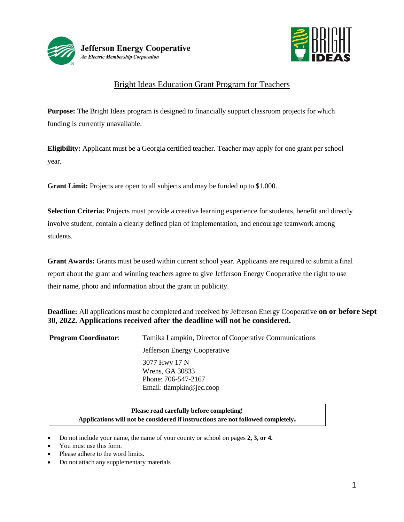



# Bright Ideas Education Grant Program for Teachers

**Purpose:** The Bright Ideas program is designed to financially support classroom projects for which funding is currently unavailable.

**Eligibility:** Applicant must be a Georgia certified teacher. Teacher may apply for one grant per school year.

**Grant Limit:** Projects are open to all subjects and may be funded up to \$1,000.

**Selection Criteria:** Projects must provide a creative learning experience for students, benefit and directly involve student, contain a clearly defined plan of implementation, and encourage teamwork among students.

**Grant Awards:** Grants must be used within current school year. Applicants are required to submit a final report about the grant and winning teachers agree to give Jefferson Energy Cooperative the right to use their name, photo and information about the grant in publicity.

**Deadline:** All applications must be completed and received by Jefferson Energy Cooperative **on or before Sept 30, 2022. Applications received after the deadline will not be considered.**

| <b>Program Coordinator:</b> | Tamika Lampkin, Director of Cooperative Communications                              |  |  |
|-----------------------------|-------------------------------------------------------------------------------------|--|--|
|                             | Jefferson Energy Cooperative                                                        |  |  |
|                             | 3077 Hwy 17 N<br>Wrens, GA 30833<br>Phone: 706-547-2167<br>Email: tlampkin@jec.coop |  |  |

### **Please read carefully before completing! Applications will not be considered if instructions are not followed completely.**

- Do not include your name, the name of your county or school on pages **2, 3, or 4.**
- You must use this form.
- Please adhere to the word limits.
- Do not attach any supplementary materials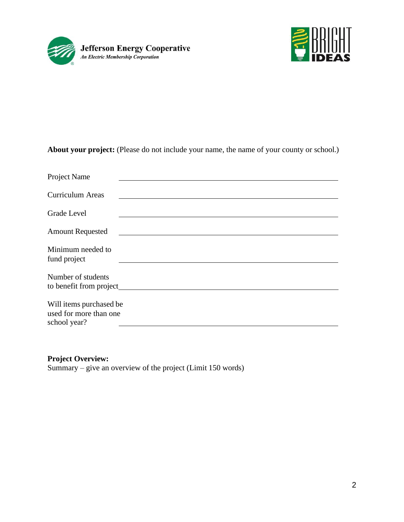



**About your project:** (Please do not include your name, the name of your county or school.)

| Project Name                                   |  |
|------------------------------------------------|--|
| <b>Curriculum Areas</b>                        |  |
| <b>Grade Level</b>                             |  |
| <b>Amount Requested</b>                        |  |
| Minimum needed to<br>fund project              |  |
| Number of students<br>to benefit from project_ |  |
| Will items purchased be                        |  |
| used for more than one<br>school year?         |  |

## **Project Overview:**

Summary – give an overview of the project (Limit 150 words)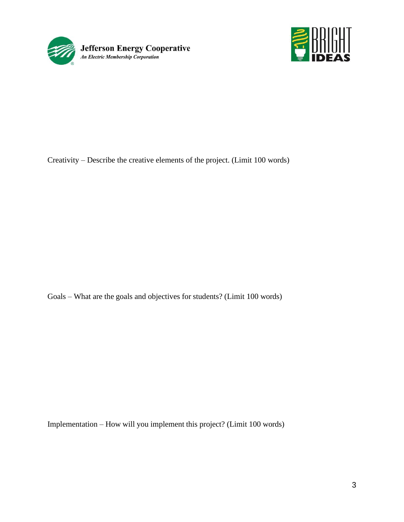



Creativity – Describe the creative elements of the project. (Limit 100 words)

Goals – What are the goals and objectives for students? (Limit 100 words)

Implementation – How will you implement this project? (Limit 100 words)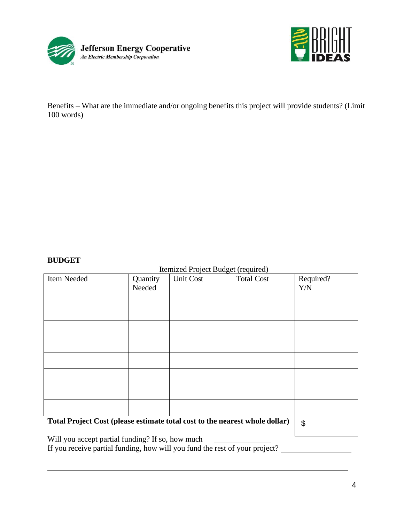



Benefits – What are the immediate and/or ongoing benefits this project will provide students? (Limit 100 words)

#### **BUDGET**

#### Itemized Project Budget (required)

| Item Needed                                                                 | Quantity<br>Needed | <b>Unit Cost</b> | <b>Total Cost</b> | Required?<br>Y/N      |
|-----------------------------------------------------------------------------|--------------------|------------------|-------------------|-----------------------|
|                                                                             |                    |                  |                   |                       |
|                                                                             |                    |                  |                   |                       |
|                                                                             |                    |                  |                   |                       |
|                                                                             |                    |                  |                   |                       |
|                                                                             |                    |                  |                   |                       |
|                                                                             |                    |                  |                   |                       |
|                                                                             |                    |                  |                   |                       |
| Total Project Cost (please estimate total cost to the nearest whole dollar) |                    |                  |                   | $\boldsymbol{\theta}$ |

Will you accept partial funding? If so, how much

If you receive partial funding, how will you fund the rest of your project?